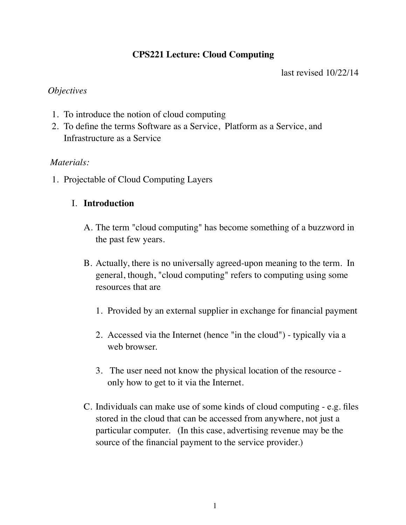# **CPS221 Lecture: Cloud Computing**

last revised 10/22/14

#### *Objectives*

- 1. To introduce the notion of cloud computing
- 2. To define the terms Software as a Service, Platform as a Service, and Infrastructure as a Service

## *Materials:*

1. Projectable of Cloud Computing Layers

## I. **Introduction**

- A. The term "cloud computing" has become something of a buzzword in the past few years.
- B. Actually, there is no universally agreed-upon meaning to the term. In general, though, "cloud computing" refers to computing using some resources that are
	- 1. Provided by an external supplier in exchange for financial payment
	- 2. Accessed via the Internet (hence "in the cloud") typically via a web browser.
	- 3. The user need not know the physical location of the resource only how to get to it via the Internet.
- C. Individuals can make use of some kinds of cloud computing e.g. files stored in the cloud that can be accessed from anywhere, not just a particular computer. (In this case, advertising revenue may be the source of the financial payment to the service provider.)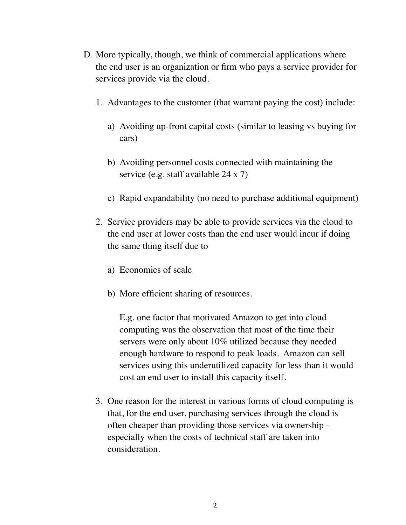- D. More typically, though, we think of commercial applications where the end user is an organization or firm who pays a service provider for services provide via the cloud.
	- 1. Advantages to the customer (that warrant paying the cost) include:
		- a) Avoiding up-front capital costs (similar to leasing vs buying for cars)
		- b) Avoiding personnel costs connected with maintaining the service (e.g. staff available 24 x 7)
		- c) Rapid expandability (no need to purchase additional equipment)
	- 2. Service providers may be able to provide services via the cloud to the end user at lower costs than the end user would incur if doing the same thing itself due to
		- a) Economies of scale
		- b) More efficient sharing of resources.

E.g. one factor that motivated Amazon to get into cloud computing was the observation that most of the time their servers were only about 10% utilized because they needed enough hardware to respond to peak loads. Amazon can sell services using this underutilized capacity for less than it would cost an end user to install this capacity itself.

3. One reason for the interest in various forms of cloud computing is that, for the end user, purchasing services through the cloud is often cheaper than providing those services via ownership especially when the costs of technical staff are taken into consideration.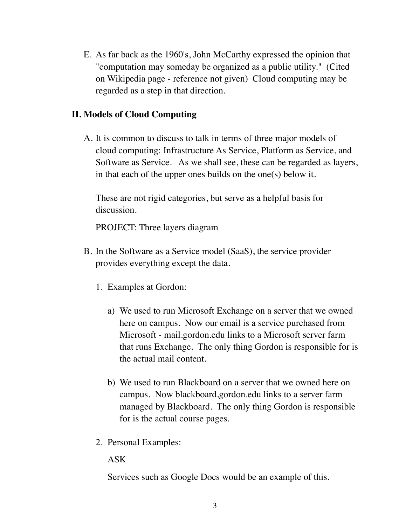E. As far back as the 1960's, John McCarthy expressed the opinion that "computation may someday be organized as a public utility." (Cited on Wikipedia page - reference not given) Cloud computing may be regarded as a step in that direction.

#### **II. Models of Cloud Computing**

A. It is common to discuss to talk in terms of three major models of cloud computing: Infrastructure As Service, Platform as Service, and Software as Service. As we shall see, these can be regarded as layers, in that each of the upper ones builds on the one(s) below it.

These are not rigid categories, but serve as a helpful basis for discussion.

PROJECT: Three layers diagram

- B. In the Software as a Service model (SaaS), the service provider provides everything except the data.
	- 1. Examples at Gordon:
		- a) We used to run Microsoft Exchange on a server that we owned here on campus. Now our email is a service purchased from Microsoft - mail.gordon.edu links to a Microsoft server farm that runs Exchange. The only thing Gordon is responsible for is the actual mail content.
		- b) We used to run Blackboard on a server that we owned here on campus. Now blackboard,gordon.edu links to a server farm managed by Blackboard. The only thing Gordon is responsible for is the actual course pages.
	- 2. Personal Examples:

ASK

Services such as Google Docs would be an example of this.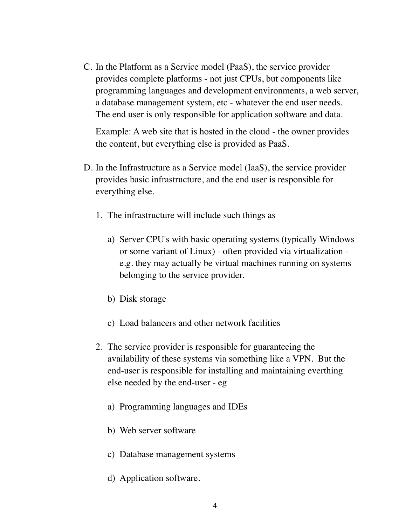C. In the Platform as a Service model (PaaS), the service provider provides complete platforms - not just CPUs, but components like programming languages and development environments, a web server, a database management system, etc - whatever the end user needs. The end user is only responsible for application software and data.

Example: A web site that is hosted in the cloud - the owner provides the content, but everything else is provided as PaaS.

- D. In the Infrastructure as a Service model (IaaS), the service provider provides basic infrastructure, and the end user is responsible for everything else.
	- 1. The infrastructure will include such things as
		- a) Server CPU's with basic operating systems (typically Windows or some variant of Linux) - often provided via virtualization e.g. they may actually be virtual machines running on systems belonging to the service provider.
		- b) Disk storage
		- c) Load balancers and other network facilities
	- 2. The service provider is responsible for guaranteeing the availability of these systems via something like a VPN. But the end-user is responsible for installing and maintaining everthing else needed by the end-user - eg
		- a) Programming languages and IDEs
		- b) Web server software
		- c) Database management systems
		- d) Application software.